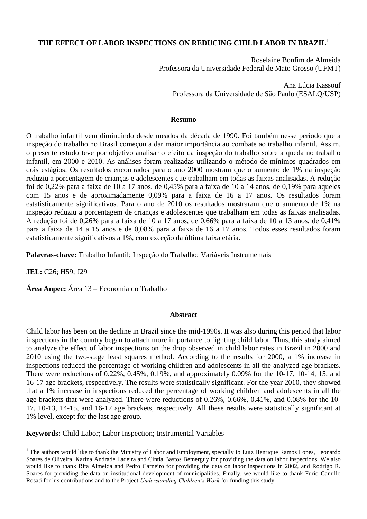# **THE EFFECT OF LABOR INSPECTIONS ON REDUCING CHILD LABOR IN BRAZIL<sup>1</sup>**

Roselaine Bonfim de Almeida Professora da Universidade Federal de Mato Grosso (UFMT)

Ana Lúcia Kassouf Professora da Universidade de São Paulo (ESALQ/USP)

### **Resumo**

O trabalho infantil vem diminuindo desde meados da década de 1990. Foi também nesse período que a inspeção do trabalho no Brasil começou a dar maior importância ao combate ao trabalho infantil. Assim, o presente estudo teve por objetivo analisar o efeito da inspeção do trabalho sobre a queda no trabalho infantil, em 2000 e 2010. As análises foram realizadas utilizando o método de mínimos quadrados em dois estágios. Os resultados encontrados para o ano 2000 mostram que o aumento de 1% na inspeção reduziu a porcentagem de crianças e adolescentes que trabalham em todas as faixas analisadas. A redução foi de 0,22% para a faixa de 10 a 17 anos, de 0,45% para a faixa de 10 a 14 anos, de 0,19% para aqueles com 15 anos e de aproximadamente 0,09% para a faixa de 16 a 17 anos. Os resultados foram estatisticamente significativos. Para o ano de 2010 os resultados mostraram que o aumento de 1% na inspeção reduziu a porcentagem de crianças e adolescentes que trabalham em todas as faixas analisadas. A redução foi de 0,26% para a faixa de 10 a 17 anos, de 0,66% para a faixa de 10 a 13 anos, de 0,41% para a faixa de 14 a 15 anos e de 0,08% para a faixa de 16 a 17 anos. Todos esses resultados foram estatisticamente significativos a 1%, com exceção da última faixa etária.

**Palavras-chave:** Trabalho Infantil; Inspeção do Trabalho; Variáveis Instrumentais

**JEL:** C26; H59; J29

 $\overline{a}$ 

**Área Anpec:** Área 13 – Economia do Trabalho

# **Abstract**

Child labor has been on the decline in Brazil since the mid-1990s. It was also during this period that labor inspections in the country began to attach more importance to fighting child labor. Thus, this study aimed to analyze the effect of labor inspections on the drop observed in child labor rates in Brazil in 2000 and 2010 using the two-stage least squares method. According to the results for 2000, a 1% increase in inspections reduced the percentage of working children and adolescents in all the analyzed age brackets. There were reductions of 0.22%, 0.45%, 0.19%, and approximately 0.09% for the 10-17, 10-14, 15, and 16-17 age brackets, respectively. The results were statistically significant. For the year 2010, they showed that a 1% increase in inspections reduced the percentage of working children and adolescents in all the age brackets that were analyzed. There were reductions of 0.26%, 0.66%, 0.41%, and 0.08% for the 10- 17, 10-13, 14-15, and 16-17 age brackets, respectively. All these results were statistically significant at 1% level, except for the last age group.

**Keywords:** Child Labor; Labor Inspection; Instrumental Variables

<sup>&</sup>lt;sup>1</sup> The authors would like to thank the Ministry of Labor and Employment, specially to Luiz Henrique Ramos Lopes, Leonardo Soares de Oliveira, Karina Andrade Ladeira and Cintia Bastos Bemerguy for providing the data on labor inspections. We also would like to thank Rita Almeida and Pedro Carneiro for providing the data on labor inspections in 2002, and Rodrigo R. Soares for providing the data on institutional development of municipalities. Finally, we would like to thank Furio Camillo Rosati for his contributions and to the Project *Understanding Children's Work* for funding this study.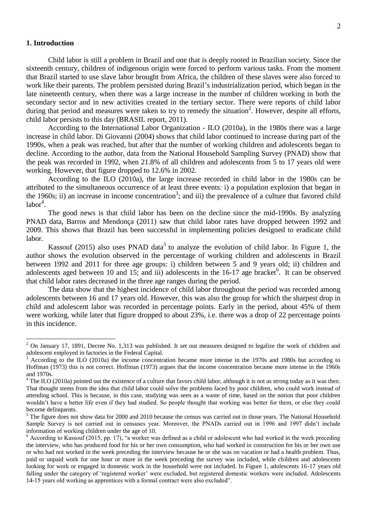#### **1. Introduction**

 $\overline{a}$ 

Child labor is still a problem in Brazil and one that is deeply rooted in Brazilian society. Since the sixteenth century, children of indigenous origin were forced to perform various tasks. From the moment that Brazil started to use slave labor brought from Africa, the children of these slaves were also forced to work like their parents. The problem persisted during Brazil's industrialization period, which began in the late nineteenth century, when there was a large increase in the number of children working in both the secondary sector and in new activities created in the tertiary sector. There were reports of child labor during that period and measures were taken to try to remedy the situation<sup>2</sup>. However, despite all efforts, child labor persists to this day (BRASIL report, 2011).

According to the International Labor Organization - ILO (2010a), in the 1980s there was a large increase in child labor. Di Giovanni (2004) shows that child labor continued to increase during part of the 1990s, when a peak was reached, but after that the number of working children and adolescents began to decline. According to the author, data from the National Household Sampling Survey (PNAD) show that the peak was recorded in 1992, when 21.8% of all children and adolescents from 5 to 17 years old were working. However, that figure dropped to 12.6% in 2002.

According to the ILO (2010a), the large increase recorded in child labor in the 1980s can be attributed to the simultaneous occurrence of at least three events: i) a population explosion that began in the 1960s; ii) an increase in income concentration<sup>3</sup>; and iii) the prevalence of a culture that favored child  $labor<sup>4</sup>$ .

The good news is that child labor has been on the decline since the mid-1990s. By analyzing PNAD data, Barros and Mendonça (2011) saw that child labor rates have dropped between 1992 and 2009. This shows that Brazil has been successful in implementing policies designed to eradicate child labor.

Kassouf (2015) also uses PNAD data<sup>5</sup> to analyze the evolution of child labor. In Figure 1, the author shows the evolution observed in the percentage of working children and adolescents in Brazil between 1992 and 2011 for three age groups: i) children between 5 and 9 years old; ii) children and adolescents aged between 10 and 15; and iii) adolescents in the  $16-17$  age bracket $6$ . It can be observed that child labor rates decreased in the three age ranges during the period.

The data show that the highest incidence of child labor throughout the period was recorded among adolescents between 16 and 17 years old. However, this was also the group for which the sharpest drop in child and adolescent labor was recorded in percentage points. Early in the period, about 45% of them were working, while later that figure dropped to about 23%, i.e. there was a drop of 22 percentage points in this incidence.

 $2$  On January 17, 1891, Decree No. 1,313 was published. It set out measures designed to legalize the work of children and adolescent employed in factories in the Federal Capital.

<sup>3</sup> According to the ILO (2010a) the income concentration became more intense in the 1970s and 1980s but according to Hoffman (1973) this is not correct. Hoffman (1973) argues that the income concentration became more intense in the 1960s and 1970s.

 $4$  The ILO (2010a) pointed out the existence of a culture that favors child labor, although it is not as strong today as it was then. That thought stems from the idea that child labor could solve the problems faced by poor children, who could work instead of attending school. This is because, in this case, studying was seen as a waste of time, based on the notion that poor children wouldn't have a better life even if they had studied. So people thought that working was better for them, or else they could become delinquents.

 $<sup>5</sup>$  The figure does not show data for 2000 and 2010 because the census was carried out in those years. The National Household</sup> Sample Survey is not carried out in censuses year. Moreover, the PNADs carried out in 1996 and 1997 didn't include information of working children under the age of 10.

 $6$  According to Kassouf (2015, pp. 17), "a worker was defined as a child or adolescent who had worked in the week preceding the interview, who has produced food for his or her own consumption, who had worked in construction for his or her own use or who had not worked in the week preceding the interview because he or she was on vacation or had a health problem. Thus, paid or unpaid work for one hour or more in the week preceding the survey was included, while children and adolescents looking for work or engaged in domestic work in the household were not included. In Figure 1, adolescents 16-17 years old falling under the category of 'registered worker' were excluded, but registered domestic workers were included. Adolescents 14-15 years old working as apprentices with a formal contract were also excluded".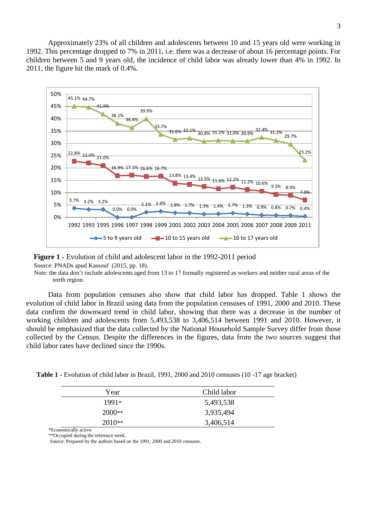Approximately 23% of all children and adolescents between 10 and 15 years old were working in 1992. This percentage dropped to 7% in 2011, i.e. there was a decrease of about 16 percentage points. For children between 5 and 9 years old, the incidence of child labor was already lower than 4% in 1992. In 2011, the figure hit the mark of 0.4%.



 **Figure 1** - Evolution of child and adolescent labor in the 1992-2011 period Source: PNADs apud Kassouf (2015, pp. 18).

 Note: the data don't include adolescents aged from 13 to 17 formally registered as workers and neither rural areas of the north region.

Data from population censuses also show that child labor has dropped. Table 1 shows the evolution of child labor in Brazil using data from the population censuses of 1991, 2000 and 2010. These data confirm the downward trend in child labor, showing that there was a decrease in the number of working children and adolescents from 5,493,538 to 3,406,514 between 1991 and 2010. However, it should be emphasized that the data collected by the National Household Sample Survey differ from those collected by the Census. Despite the differences in the figures, data from the two sources suggest that child labor rates have declined since the 1990s.

 **Table 1 -** Evolution of child labor in Brazil, 1991, 2000 and 2010 censuses (10 -17 age bracket)

| Year     | Child labor |
|----------|-------------|
| $1991*$  | 5,493,538   |
| $2000**$ | 3,935,494   |
| $2010**$ | 3,406,514   |

 \*Economically active. \*\*Occupied during the reference week.

Source: Prepared by the authors based on the 1991, 2000 and 2010 censuses.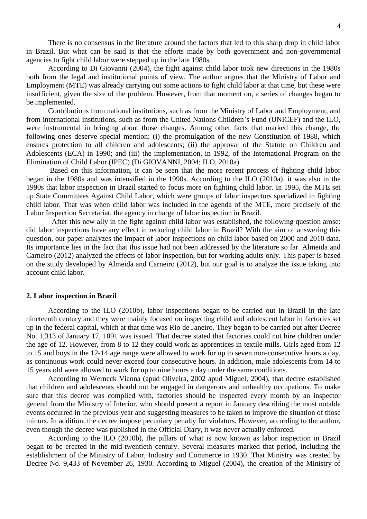There is no consensus in the literature around the factors that led to this sharp drop in child labor in Brazil. But what can be said is that the efforts made by both government and non-governmental agencies to fight child labor were stepped up in the late 1980s.

According to Di Giovanni (2004), the fight against child labor took new directions in the 1980s both from the legal and institutional points of view. The author argues that the Ministry of Labor and Employment (MTE) was already carrying out some actions to fight child labor at that time, but these were insufficient, given the size of the problem. However, from that moment on, a series of changes began to be implemented.

Contributions from national institutions, such as from the Ministry of Labor and Employment, and from international institutions, such as from the United Nations Children's Fund (UNICEF) and the ILO, were instrumental in bringing about those changes. Among other facts that marked this change, the following ones deserve special mention: (i) the promulgation of the new Constitution of 1988, which ensures protection to all children and adolescents; (ii) the approval of the Statute on Children and Adolescents (ECA) in 1990; and (iii) the implementation, in 1992, of the International Program on the Elimination of Child Labor (IPEC) (Di GIOVANNI, 2004; ILO, 2010a).

Based on this information, it can be seen that the more recent process of fighting child labor began in the 1980s and was intensified in the 1990s. According to the ILO (2010a), it was also in the 1990s that labor inspection in Brazil started to focus more on fighting child labor. In 1995, the MTE set up State Committees Against Child Labor, which were groups of labor inspectors specialized in fighting child labor. That was when child labor was included in the agenda of the MTE, more precisely of the Labor Inspection Secretariat, the agency in charge of labor inspection in Brazil.

 After this new ally in the fight against child labor was established, the following question arose: did labor inspections have any effect in reducing child labor in Brazil? With the aim of answering this question, our paper analyzes the impact of labor inspections on child labor based on 2000 and 2010 data. Its importance lies in the fact that this issue had not been addressed by the literature so far. Almeida and Carneiro (2012) analyzed the effects of labor inspection, but for working adults only. This paper is based on the study developed by Almeida and Carneiro (2012), but our goal is to analyze the issue taking into account child labor.

### **2. Labor inspection in Brazil**

According to the ILO (2010b), labor inspections began to be carried out in Brazil in the late nineteenth century and they were mainly focused on inspecting child and adolescent labor in factories set up in the federal capital, which at that time was Rio de Janeiro. They began to be carried out after Decree No. 1,313 of January 17, 1891 was issued. That decree stated that factories could not hire children under the age of 12. However, from 8 to 12 they could work as apprentices in textile mills. Girls aged from 12 to 15 and boys in the 12-14 age range were allowed to work for up to seven non-consecutive hours a day, as continuous work could never exceed four consecutive hours. In addition, male adolescents from 14 to 15 years old were allowed to work for up to nine hours a day under the same conditions.

According to Werneck Vianna (apud Oliveira, 2002 apud Miguel, 2004), that decree established that children and adolescents should not be engaged in dangerous and unhealthy occupations. To make sure that this decree was complied with, factories should be inspected every month by an inspector general from the Ministry of Interior, who should present a report in January describing the most notable events occurred in the previous year and suggesting measures to be taken to improve the situation of those minors. In addition, the decree impose pecuniary penalty for violators. However, according to the author, even though the decree was published in the Official Diary, it was never actually enforced.

According to the ILO (2010b), the pillars of what is now known as labor inspection in Brazil began to be erected in the mid-twentieth century. Several measures marked that period, including the establishment of the Ministry of Labor, Industry and Commerce in 1930. That Ministry was created by Decree No. 9,433 of November 26, 1930. According to Miguel (2004), the creation of the Ministry of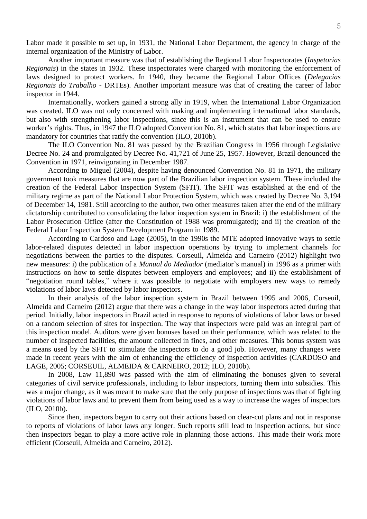Labor made it possible to set up, in 1931, the National Labor Department, the agency in charge of the internal organization of the Ministry of Labor.

Another important measure was that of establishing the Regional Labor Inspectorates (*Inspetorias Regionais*) in the states in 1932. These inspectorates were charged with monitoring the enforcement of laws designed to protect workers. In 1940, they became the Regional Labor Offices (*Delegacias Regionais do Trabalho* - DRTEs). Another important measure was that of creating the career of labor inspector in 1944.

Internationally, workers gained a strong ally in 1919, when the International Labor Organization was created. ILO was not only concerned with making and implementing international labor standards, but also with strengthening labor inspections, since this is an instrument that can be used to ensure worker's rights. Thus, in 1947 the ILO adopted Convention No. 81, which states that labor inspections are mandatory for countries that ratify the convention (ILO, 2010b).

The ILO Convention No. 81 was passed by the Brazilian Congress in 1956 through Legislative Decree No. 24 and promulgated by Decree No. 41,721 of June 25, 1957. However, Brazil denounced the Convention in 1971, reinvigorating in December 1987.

According to Miguel (2004), despite having denounced Convention No. 81 in 1971, the military government took measures that are now part of the Brazilian labor inspection system. These included the creation of the Federal Labor Inspection System (SFIT). The SFIT was established at the end of the military regime as part of the National Labor Protection System, which was created by Decree No. 3,194 of December 14, 1981. Still according to the author, two other measures taken after the end of the military dictatorship contributed to consolidating the labor inspection system in Brazil: i) the establishment of the Labor Prosecution Office (after the Constitution of 1988 was promulgated); and ii) the creation of the Federal Labor Inspection System Development Program in 1989.

According to Cardoso and Lage (2005), in the 1990s the MTE adopted innovative ways to settle labor-related disputes detected in labor inspection operations by trying to implement channels for negotiations between the parties to the disputes. Corseuil, Almeida and Carneiro (2012) highlight two new measures: i) the publication of a *Manual do Mediador* (mediator's manual) in 1996 as a primer with instructions on how to settle disputes between employers and employees; and ii) the establishment of "negotiation round tables," where it was possible to negotiate with employers new ways to remedy violations of labor laws detected by labor inspectors.

In their analysis of the labor inspection system in Brazil between 1995 and 2006, Corseuil, Almeida and Carneiro (2012) argue that there was a change in the way labor inspectors acted during that period. Initially, labor inspectors in Brazil acted in response to reports of violations of labor laws or based on a random selection of sites for inspection. The way that inspectors were paid was an integral part of this inspection model. Auditors were given bonuses based on their performance, which was related to the number of inspected facilities, the amount collected in fines, and other measures. This bonus system was a means used by the SFIT to stimulate the inspectors to do a good job. However, many changes were made in recent years with the aim of enhancing the efficiency of inspection activities (CARDOSO and LAGE, 2005; CORSEUIL, ALMEIDA & CARNEIRO, 2012; ILO, 2010b).

In 2008, Law 11,890 was passed with the aim of eliminating the bonuses given to several categories of civil service professionals, including to labor inspectors, turning them into subsidies. This was a major change, as it was meant to make sure that the only purpose of inspections was that of fighting violations of labor laws and to prevent them from being used as a way to increase the wages of inspectors (ILO, 2010b).

Since then, inspectors began to carry out their actions based on clear-cut plans and not in response to reports of violations of labor laws any longer. Such reports still lead to inspection actions, but since then inspectors began to play a more active role in planning those actions. This made their work more efficient (Corseuil, Almeida and Carneiro, 2012).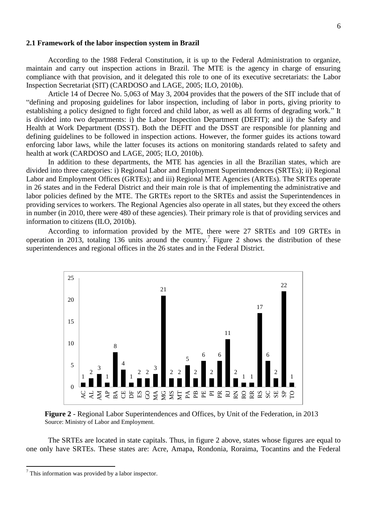### **2.1 Framework of the labor inspection system in Brazil**

According to the 1988 Federal Constitution, it is up to the Federal Administration to organize, maintain and carry out inspection actions in Brazil. The MTE is the agency in charge of ensuring compliance with that provision, and it delegated this role to one of its executive secretariats: the Labor Inspection Secretariat (SIT) (CARDOSO and LAGE, 2005; ILO, 2010b).

Article 14 of Decree No. 5,063 of May 3, 2004 provides that the powers of the SIT include that of "defining and proposing guidelines for labor inspection, including of labor in ports, giving priority to establishing a policy designed to fight forced and child labor, as well as all forms of degrading work." It is divided into two departments: i) the Labor Inspection Department (DEFIT); and ii) the Safety and Health at Work Department (DSST). Both the DEFIT and the DSST are responsible for planning and defining guidelines to be followed in inspection actions. However, the former guides its actions toward enforcing labor laws, while the latter focuses its actions on monitoring standards related to safety and health at work (CARDOSO and LAGE, 2005; ILO, 2010b).

In addition to these departments, the MTE has agencies in all the Brazilian states, which are divided into three categories: i) Regional Labor and Employment Superintendences (SRTEs); ii) Regional Labor and Employment Offices (GRTEs); and iii) Regional MTE Agencies (ARTEs). The SRTEs operate in 26 states and in the Federal District and their main role is that of implementing the administrative and labor policies defined by the MTE. The GRTEs report to the SRTEs and assist the Superintendences in providing services to workers. The Regional Agencies also operate in all states, but they exceed the others in number (in 2010, there were 480 of these agencies). Their primary role is that of providing services and information to citizens (ILO, 2010b).

According to information provided by the MTE, there were 27 SRTEs and 109 GRTEs in operation in 2013, totaling 136 units around the country.<sup>7</sup> Figure 2 shows the distribution of these superintendences and regional offices in the 26 states and in the Federal District.



 **Figure 2** - Regional Labor Superintendences and Offices, by Unit of the Federation, in 2013 Source: Ministry of Labor and Employment.

The SRTEs are located in state capitals. Thus, in figure 2 above, states whose figures are equal to one only have SRTEs. These states are: Acre, Amapa, Rondonia, Roraima, Tocantins and the Federal

 $\ddot{\phantom{a}}$ 

<sup>7</sup> This information was provided by a labor inspector.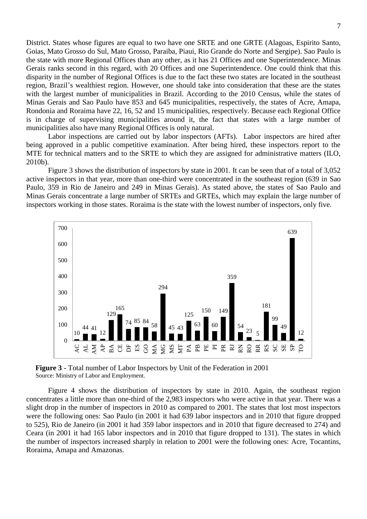District. States whose figures are equal to two have one SRTE and one GRTE (Alagoas, Espirito Santo, Goias, Mato Grosso do Sul, Mato Grosso, Paraiba, Piaui, Rio Grande do Norte and Sergipe). Sao Paulo is the state with more Regional Offices than any other, as it has 21 Offices and one Superintendence. Minas Gerais ranks second in this regard, with 20 Offices and one Superintendence. One could think that this disparity in the number of Regional Offices is due to the fact these two states are located in the southeast region, Brazil's wealthiest region. However, one should take into consideration that these are the states with the largest number of municipalities in Brazil. According to the 2010 Census, while the states of Minas Gerais and Sao Paulo have 853 and 645 municipalities, respectively, the states of Acre, Amapa, Rondonia and Roraima have 22, 16, 52 and 15 municipalities, respectively. Because each Regional Office is in charge of supervising municipalities around it, the fact that states with a large number of municipalities also have many Regional Offices is only natural.

Labor inspections are carried out by labor inspectors (AFTs). Labor inspectors are hired after being approved in a public competitive examination. After being hired, these inspectors report to the MTE for technical matters and to the SRTE to which they are assigned for administrative matters (ILO, 2010b).

Figure 3 shows the distribution of inspectors by state in 2001. It can be seen that of a total of 3,052 active inspectors in that year, more than one-third were concentrated in the southeast region (639 in Sao Paulo, 359 in Rio de Janeiro and 249 in Minas Gerais). As stated above, the states of Sao Paulo and Minas Gerais concentrate a large number of SRTEs and GRTEs, which may explain the large number of inspectors working in those states. Roraima is the state with the lowest number of inspectors, only five.



 **Figure 3** - Total number of Labor Inspectors by Unit of the Federation in 2001 Source: Ministry of Labor and Employment.

Figure 4 shows the distribution of inspectors by state in 2010. Again, the southeast region concentrates a little more than one-third of the 2,983 inspectors who were active in that year. There was a slight drop in the number of inspectors in 2010 as compared to 2001. The states that lost most inspectors were the following ones: Sao Paulo (in 2001 it had 639 labor inspectors and in 2010 that figure dropped to 525), Rio de Janeiro (in 2001 it had 359 labor inspectors and in 2010 that figure decreased to 274) and Ceara (in 2001 it had 165 labor inspectors and in 2010 that figure dropped to 131). The states in which the number of inspectors increased sharply in relation to 2001 were the following ones: Acre, Tocantins, Roraima, Amapa and Amazonas.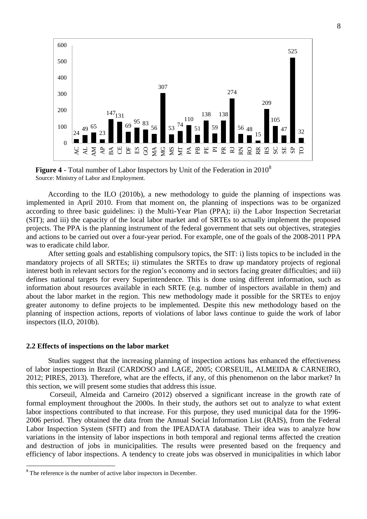

**Figure 4** - Total number of Labor Inspectors by Unit of the Federation in 2010<sup>8</sup> Source: Ministry of Labor and Employment.

According to the ILO (2010b), a new methodology to guide the planning of inspections was implemented in April 2010. From that moment on, the planning of inspections was to be organized according to three basic guidelines: i) the Multi-Year Plan (PPA); ii) the Labor Inspection Secretariat (SIT); and iii) the capacity of the local labor market and of SRTEs to actually implement the proposed projects. The PPA is the planning instrument of the federal government that sets out objectives, strategies and actions to be carried out over a four-year period. For example, one of the goals of the 2008-2011 PPA was to eradicate child labor.

After setting goals and establishing compulsory topics, the SIT: i) lists topics to be included in the mandatory projects of all SRTEs; ii) stimulates the SRTEs to draw up mandatory projects of regional interest both in relevant sectors for the region's economy and in sectors facing greater difficulties; and iii) defines national targets for every Superintendence. This is done using different information, such as information about resources available in each SRTE (e.g. number of inspectors available in them) and about the labor market in the region. This new methodology made it possible for the SRTEs to enjoy greater autonomy to define projects to be implemented. Despite this new methodology based on the planning of inspection actions, reports of violations of labor laws continue to guide the work of labor inspectors (ILO, 2010b).

#### **2.2 Effects of inspections on the labor market**

Studies suggest that the increasing planning of inspection actions has enhanced the effectiveness of labor inspections in Brazil (CARDOSO and LAGE, 2005; CORSEUIL, ALMEIDA & CARNEIRO, 2012; PIRES, 2013). Therefore, what are the effects, if any, of this phenomenon on the labor market? In this section, we will present some studies that address this issue.

Corseuil, Almeida and Carneiro (2012) observed a significant increase in the growth rate of formal employment throughout the 2000s. In their study, the authors set out to analyze to what extent labor inspections contributed to that increase. For this purpose, they used municipal data for the 1996- 2006 period. They obtained the data from the Annual Social Information List (RAIS), from the Federal Labor Inspection System (SFIT) and from the IPEADATA database. Their idea was to analyze how variations in the intensity of labor inspections in both temporal and regional terms affected the creation and destruction of jobs in municipalities. The results were presented based on the frequency and efficiency of labor inspections. A tendency to create jobs was observed in municipalities in which labor

 $\ddot{\phantom{a}}$ 

<sup>&</sup>lt;sup>8</sup> The reference is the number of active labor inspectors in December.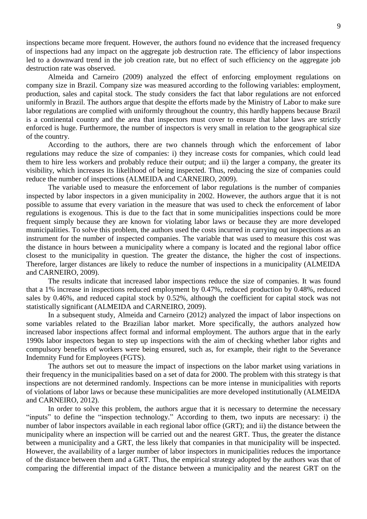inspections became more frequent. However, the authors found no evidence that the increased frequency of inspections had any impact on the aggregate job destruction rate. The efficiency of labor inspections led to a downward trend in the job creation rate, but no effect of such efficiency on the aggregate job destruction rate was observed.

Almeida and Carneiro (2009) analyzed the effect of enforcing employment regulations on company size in Brazil. Company size was measured according to the following variables: employment, production, sales and capital stock. The study considers the fact that labor regulations are not enforced uniformly in Brazil. The authors argue that despite the efforts made by the Ministry of Labor to make sure labor regulations are complied with uniformly throughout the country, this hardly happens because Brazil is a continental country and the area that inspectors must cover to ensure that labor laws are strictly enforced is huge. Furthermore, the number of inspectors is very small in relation to the geographical size of the country.

According to the authors, there are two channels through which the enforcement of labor regulations may reduce the size of companies: i) they increase costs for companies, which could lead them to hire less workers and probably reduce their output; and ii) the larger a company, the greater its visibility, which increases its likelihood of being inspected. Thus, reducing the size of companies could reduce the number of inspections (ALMEIDA and CARNEIRO, 2009).

The variable used to measure the enforcement of labor regulations is the number of companies inspected by labor inspectors in a given municipality in 2002. However, the authors argue that it is not possible to assume that every variation in the measure that was used to check the enforcement of labor regulations is exogenous. This is due to the fact that in some municipalities inspections could be more frequent simply because they are known for violating labor laws or because they are more developed municipalities. To solve this problem, the authors used the costs incurred in carrying out inspections as an instrument for the number of inspected companies. The variable that was used to measure this cost was the distance in hours between a municipality where a company is located and the regional labor office closest to the municipality in question. The greater the distance, the higher the cost of inspections. Therefore, larger distances are likely to reduce the number of inspections in a municipality (ALMEIDA and CARNEIRO, 2009).

The results indicate that increased labor inspections reduce the size of companies. It was found that a 1% increase in inspections reduced employment by 0.47%, reduced production by 0.48%, reduced sales by 0.46%, and reduced capital stock by 0.52%, although the coefficient for capital stock was not statistically significant (ALMEIDA and CARNEIRO, 2009).

In a subsequent study, Almeida and Carneiro (2012) analyzed the impact of labor inspections on some variables related to the Brazilian labor market. More specifically, the authors analyzed how increased labor inspections affect formal and informal employment. The authors argue that in the early 1990s labor inspectors began to step up inspections with the aim of checking whether labor rights and compulsory benefits of workers were being ensured, such as, for example, their right to the Severance Indemnity Fund for Employees (FGTS).

The authors set out to measure the impact of inspections on the labor market using variations in their frequency in the municipalities based on a set of data for 2000. The problem with this strategy is that inspections are not determined randomly. Inspections can be more intense in municipalities with reports of violations of labor laws or because these municipalities are more developed institutionally (ALMEIDA and CARNEIRO, 2012).

In order to solve this problem, the authors argue that it is necessary to determine the necessary "inputs" to define the "inspection technology." According to them, two inputs are necessary: i) the number of labor inspectors available in each regional labor office (GRT); and ii) the distance between the municipality where an inspection will be carried out and the nearest GRT. Thus, the greater the distance between a municipality and a GRT, the less likely that companies in that municipality will be inspected. However, the availability of a larger number of labor inspectors in municipalities reduces the importance of the distance between them and a GRT. Thus, the empirical strategy adopted by the authors was that of comparing the differential impact of the distance between a municipality and the nearest GRT on the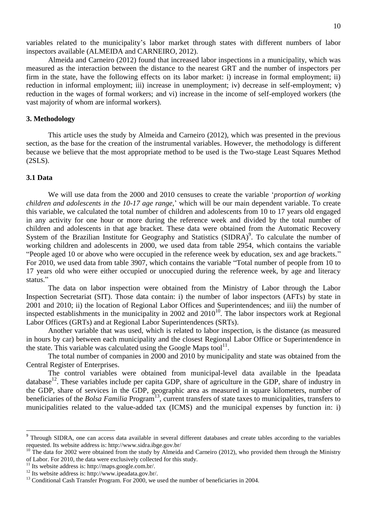variables related to the municipality's labor market through states with different numbers of labor inspectors available (ALMEIDA and CARNEIRO, 2012).

Almeida and Carneiro (2012) found that increased labor inspections in a municipality, which was measured as the interaction between the distance to the nearest GRT and the number of inspectors per firm in the state, have the following effects on its labor market: i) increase in formal employment; ii) reduction in informal employment; iii) increase in unemployment; iv) decrease in self-employment; v) reduction in the wages of formal workers; and vi) increase in the income of self-employed workers (the vast majority of whom are informal workers).

# **3. Methodology**

This article uses the study by Almeida and Carneiro (2012), which was presented in the previous section, as the base for the creation of the instrumental variables. However, the methodology is different because we believe that the most appropriate method to be used is the Two-stage Least Squares Method (2SLS).

#### **3.1 Data**

 $\overline{a}$ 

We will use data from the 2000 and 2010 censuses to create the variable '*proportion of working children and adolescents in the 10-17 age range*,' which will be our main dependent variable. To create this variable, we calculated the total number of children and adolescents from 10 to 17 years old engaged in any activity for one hour or more during the reference week and divided by the total number of children and adolescents in that age bracket. These data were obtained from the Automatic Recovery System of the Brazilian Institute for Geography and Statistics (SIDRA)<sup>9</sup>. To calculate the number of working children and adolescents in 2000, we used data from table 2954, which contains the variable "People aged 10 or above who were occupied in the reference week by education, sex and age brackets." For 2010, we used data from table 3907, which contains the variable "Total number of people from 10 to 17 years old who were either occupied or unoccupied during the reference week, by age and literacy status."

The data on labor inspection were obtained from the Ministry of Labor through the Labor Inspection Secretariat (SIT). Those data contain: i) the number of labor inspectors (AFTs) by state in 2001 and 2010; ii) the location of Regional Labor Offices and Superintendences; and iii) the number of inspected establishments in the municipality in 2002 and  $2010^{10}$ . The labor inspectors work at Regional Labor Offices (GRTs) and at Regional Labor Superintendences (SRTs).

Another variable that was used, which is related to labor inspection, is the distance (as measured in hours by car) between each municipality and the closest Regional Labor Office or Superintendence in the state. This variable was calculated using the Google Maps tool<sup>11</sup>.

The total number of companies in 2000 and 2010 by municipality and state was obtained from the Central Register of Enterprises.

The control variables were obtained from municipal-level data available in the Ipeadata database<sup>12</sup>. These variables include per capita GDP, share of agriculture in the GDP, share of industry in the GDP, share of services in the GDP, geographic area as measured in square kilometers, number of beneficiaries of the *Bolsa Familia* Program<sup>13</sup>, current transfers of state taxes to municipalities, transfers to municipalities related to the value-added tax (ICMS) and the municipal expenses by function in: i)

<sup>&</sup>lt;sup>9</sup> Through SIDRA, one can access data available in several different databases and create tables according to the variables requested. Its website address is: http://www.sidra.ibge.gov.br/

 $10$  The data for 2002 were obtained from the study by Almeida and Carneiro (2012), who provided them through the Ministry of Labor. For 2010, the data were exclusively collected for this study.

<sup>&</sup>lt;sup>11</sup> Its website address is: http://maps.google.com.br/.

<sup>12</sup> Its website address is: http://www.ipeadata.gov.br/.

<sup>&</sup>lt;sup>13</sup> Conditional Cash Transfer Program. For 2000, we used the number of beneficiaries in 2004.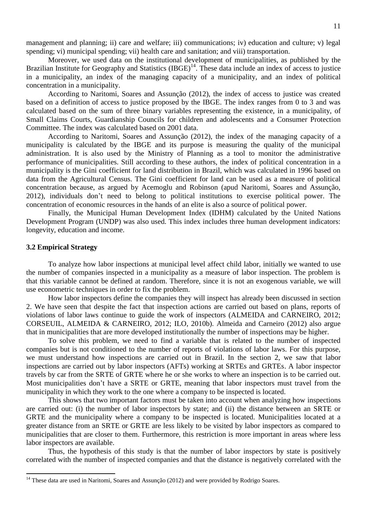management and planning; ii) care and welfare; iii) communications; iv) education and culture; v) legal spending; vi) municipal spending; vii) health care and sanitation; and viii) transportation.

Moreover, we used data on the institutional development of municipalities, as published by the Brazilian Institute for Geography and Statistics  $(IBGE)^{14}$ . These data include an index of access to justice in a municipality, an index of the managing capacity of a municipality, and an index of political concentration in a municipality.

According to Naritomi, Soares and Assunção (2012), the index of access to justice was created based on a definition of access to justice proposed by the IBGE. The index ranges from 0 to 3 and was calculated based on the sum of three binary variables representing the existence, in a municipality, of Small Claims Courts, Guardianship Councils for children and adolescents and a Consumer Protection Committee. The index was calculated based on 2001 data.

According to Naritomi, Soares and Assunção (2012), the index of the managing capacity of a municipality is calculated by the IBGE and its purpose is measuring the quality of the municipal administration. It is also used by the Ministry of Planning as a tool to monitor the administrative performance of municipalities. Still according to these authors, the index of political concentration in a municipality is the Gini coefficient for land distribution in Brazil, which was calculated in 1996 based on data from the Agricultural Census. The Gini coefficient for land can be used as a measure of political concentration because, as argued by Acemoglu and Robinson (apud Naritomi, Soares and Assunção, 2012), individuals don't need to belong to political institutions to exercise political power. The concentration of economic resources in the hands of an elite is also a source of political power.

Finally, the Municipal Human Development Index (IDHM) calculated by the United Nations Development Program (UNDP) was also used. This index includes three human development indicators: longevity, education and income.

# **3.2 Empirical Strategy**

 $\overline{a}$ 

To analyze how labor inspections at municipal level affect child labor, initially we wanted to use the number of companies inspected in a municipality as a measure of labor inspection. The problem is that this variable cannot be defined at random. Therefore, since it is not an exogenous variable, we will use econometric techniques in order to fix the problem.

How labor inspectors define the companies they will inspect has already been discussed in section 2. We have seen that despite the fact that inspection actions are carried out based on plans, reports of violations of labor laws continue to guide the work of inspectors (ALMEIDA and CARNEIRO, 2012; CORSEUIL, ALMEIDA & CARNEIRO, 2012; ILO, 2010b). Almeida and Carneiro (2012) also argue that in municipalities that are more developed institutionally the number of inspections may be higher.

To solve this problem, we need to find a variable that is related to the number of inspected companies but is not conditioned to the number of reports of violations of labor laws. For this purpose, we must understand how inspections are carried out in Brazil. In the section 2, we saw that labor inspections are carried out by labor inspectors (AFTs) working at SRTEs and GRTEs. A labor inspector travels by car from the SRTE of GRTE where he or she works to where an inspection is to be carried out. Most municipalities don't have a SRTE or GRTE, meaning that labor inspectors must travel from the municipality in which they work to the one where a company to be inspected is located.

This shows that two important factors must be taken into account when analyzing how inspections are carried out: (i) the number of labor inspectors by state; and (ii) the distance between an SRTE or GRTE and the municipality where a company to be inspected is located. Municipalities located at a greater distance from an SRTE or GRTE are less likely to be visited by labor inspectors as compared to municipalities that are closer to them. Furthermore, this restriction is more important in areas where less labor inspectors are available.

Thus, the hypothesis of this study is that the number of labor inspectors by state is positively correlated with the number of inspected companies and that the distance is negatively correlated with the

<sup>&</sup>lt;sup>14</sup> These data are used in Naritomi, Soares and Assunção (2012) and were provided by Rodrigo Soares.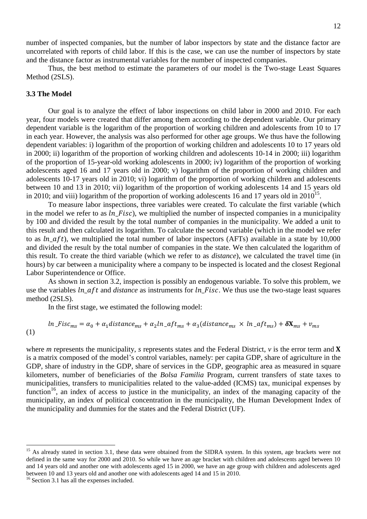number of inspected companies, but the number of labor inspectors by state and the distance factor are uncorrelated with reports of child labor. If this is the case, we can use the number of inspectors by state and the distance factor as instrumental variables for the number of inspected companies.

Thus, the best method to estimate the parameters of our model is the Two-stage Least Squares Method (2SLS).

# **3.3 The Model**

Our goal is to analyze the effect of labor inspections on child labor in 2000 and 2010. For each year, four models were created that differ among them according to the dependent variable. Our primary dependent variable is the logarithm of the proportion of working children and adolescents from 10 to 17 in each year. However, the analysis was also performed for other age groups. We thus have the following dependent variables: i) logarithm of the proportion of working children and adolescents 10 to 17 years old in 2000; ii) logarithm of the proportion of working children and adolescents 10-14 in 2000; iii) logarithm of the proportion of 15-year-old working adolescents in 2000; iv) logarithm of the proportion of working adolescents aged 16 and 17 years old in 2000; v) logarithm of the proportion of working children and adolescents 10-17 years old in 2010; vi) logarithm of the proportion of working children and adolescents between 10 and 13 in 2010; vii) logarithm of the proportion of working adolescents 14 and 15 years old in 2010; and viii) logarithm of the proportion of working adolescents 16 and 17 years old in 2010<sup>15</sup>.

To measure labor inspections, three variables were created. To calculate the first variable (which in the model we refer to as  $ln Fisc$ , we multiplied the number of inspected companies in a municipality by 100 and divided the result by the total number of companies in the municipality. We added a unit to this result and then calculated its logarithm. To calculate the second variable (which in the model we refer to as  $ln_a ft$ , we multiplied the total number of labor inspectors (AFTs) available in a state by 10,000 and divided the result by the total number of companies in the state. We then calculated the logarithm of this result. To create the third variable (which we refer to as *distance*), we calculated the travel time (in hours) by car between a municipality where a company to be inspected is located and the closest Regional Labor Superintendence or Office.

As shown in section 3.2, inspection is possibly an endogenous variable. To solve this problem, we use the variables ln aft and *distance* as instruments for ln Fisc. We thus use the two-stage least squares method (2SLS).

In the first stage, we estimated the following model:

$$
ln_Fisc_{ms} = \alpha_0 + \alpha_1 distance_{ms} + \alpha_2 ln_A ft_{ms} + \alpha_3 (distance_{ms} \times ln_A ft_{ms}) + \delta X_{ms} + v_{ms}
$$
\n(1)

where *m* represents the municipality, *s* represents states and the Federal District,  $v$  is the error term and **X** is a matrix composed of the model's control variables, namely: per capita GDP, share of agriculture in the GDP, share of industry in the GDP, share of services in the GDP, geographic area as measured in square kilometers, number of beneficiaries of the *Bolsa Familia* Program, current transfers of state taxes to municipalities, transfers to municipalities related to the value-added (ICMS) tax, municipal expenses by function<sup>16</sup>, an index of access to justice in the municipality, an index of the managing capacity of the municipality, an index of political concentration in the municipality, the Human Development Index of the municipality and dummies for the states and the Federal District (UF).

 $\overline{a}$ 

<sup>&</sup>lt;sup>15</sup> As already stated in section 3.1, these data were obtained from the SIDRA system. In this system, age brackets were not defined in the same way for 2000 and 2010. So while we have an age bracket with children and adolescents aged between 10 and 14 years old and another one with adolescents aged 15 in 2000, we have an age group with children and adolescents aged between 10 and 13 years old and another one with adolescents aged 14 and 15 in 2010.

<sup>&</sup>lt;sup>16</sup> Section 3.1 has all the expenses included.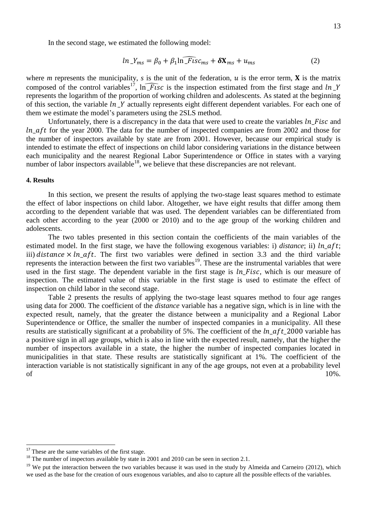In the second stage, we estimated the following model:

$$
ln_{\perp} Y_{ms} = \beta_0 + \beta_1 ln \widehat{\perp Fis} c_{ms} + \delta \mathbf{X}_{ms} + u_{ms}
$$
 (2)

where *m* represents the municipality, *s* is the unit of the federation,  $u$  is the error term, **X** is the matrix composed of the control variables<sup>17</sup>,  $\ln \widehat{F \iota s}c$  is the inspection estimated from the first stage and  $\ln Y$ represents the logarithm of the proportion of working children and adolescents. As stated at the beginning of this section, the variable  $ln$  Y actually represents eight different dependent variables. For each one of them we estimate the model's parameters using the 2SLS method.

Unfortunately, there is a discrepancy in the data that were used to create the variables  $\ln$  Fisc and  $ln_{a}$  for the year 2000. The data for the number of inspected companies are from 2002 and those for the number of inspectors available by state are from 2001. However, because our empirical study is intended to estimate the effect of inspections on child labor considering variations in the distance between each municipality and the nearest Regional Labor Superintendence or Office in states with a varying number of labor inspectors available<sup>18</sup>, we believe that these discrepancies are not relevant.

### **4. Results**

In this section, we present the results of applying the two-stage least squares method to estimate the effect of labor inspections on child labor. Altogether, we have eight results that differ among them according to the dependent variable that was used. The dependent variables can be differentiated from each other according to the year (2000 or 2010) and to the age group of the working children and adolescents.

The two tables presented in this section contain the coefficients of the main variables of the estimated model. In the first stage, we have the following exogenous variables: i) *distance*; ii)  $ln_a ft$ ; iii)  $distance \times ln \text{ af } t$ . The first two variables were defined in section 3.3 and the third variable represents the interaction between the first two variables<sup>19</sup>. These are the instrumental variables that were used in the first stage. The dependent variable in the first stage is  $ln_F$  isc, which is our measure of inspection. The estimated value of this variable in the first stage is used to estimate the effect of inspection on child labor in the second stage.

Table 2 presents the results of applying the two-stage least squares method to four age ranges using data for 2000. The coefficient of the *distance* variable has a negative sign, which is in line with the expected result, namely, that the greater the distance between a municipality and a Regional Labor Superintendence or Office, the smaller the number of inspected companies in a municipality. All these results are statistically significant at a probability of 5%. The coefficient of the  $ln$  aft 2000 variable has a positive sign in all age groups, which is also in line with the expected result, namely, that the higher the number of inspectors available in a state, the higher the number of inspected companies located in municipalities in that state. These results are statistically significant at 1%. The coefficient of the interaction variable is not statistically significant in any of the age groups, not even at a probability level of  $10\%$ .

 $\overline{a}$ 

 $17$  These are the same variables of the first stage.

<sup>&</sup>lt;sup>18</sup> The number of inspectors available by state in 2001 and 2010 can be seen in section 2.1.

<sup>&</sup>lt;sup>19</sup> We put the interaction between the two variables because it was used in the study by Almeida and Carneiro (2012), which we used as the base for the creation of ours exogenous variables, and also to capture all the possible effects of the variables.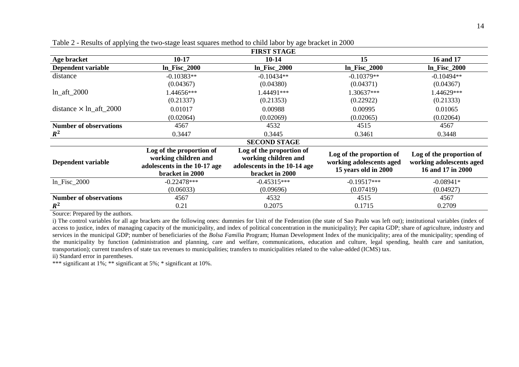| wpp-jing are the bugge ready beauto intender to entire no or by age cratice in 2000<br><b>FIRST STAGE</b> |                                                                                                     |                                                                                                     |                                                                              |                                                                           |  |  |  |
|-----------------------------------------------------------------------------------------------------------|-----------------------------------------------------------------------------------------------------|-----------------------------------------------------------------------------------------------------|------------------------------------------------------------------------------|---------------------------------------------------------------------------|--|--|--|
| Age bracket                                                                                               | $10 - 17$                                                                                           | $10 - 14$                                                                                           | 15                                                                           | 16 and 17                                                                 |  |  |  |
| Dependent variable                                                                                        | $ln$ Fisc $2000$                                                                                    | <b>In_Fisc_2000</b>                                                                                 | <b>In_Fisc_2000</b>                                                          | $ln$ Fisc $2000$                                                          |  |  |  |
| distance                                                                                                  | $-0.10383**$                                                                                        | $-0.10434**$                                                                                        | $-0.10379**$                                                                 | $-0.10494**$                                                              |  |  |  |
|                                                                                                           | (0.04367)                                                                                           | (0.04380)                                                                                           | (0.04371)                                                                    | (0.04367)                                                                 |  |  |  |
| $ln_aft_2000$                                                                                             | .44656***                                                                                           | 1.44491***                                                                                          | .30637***                                                                    | .44629***                                                                 |  |  |  |
|                                                                                                           | (0.21337)                                                                                           | (0.21353)                                                                                           | (0.22922)                                                                    | (0.21333)                                                                 |  |  |  |
| distance $\times$ ln_aft_2000                                                                             | 0.01017                                                                                             | 0.00988                                                                                             | 0.00995                                                                      | 0.01065                                                                   |  |  |  |
|                                                                                                           | (0.02064)                                                                                           | (0.02069)                                                                                           | (0.02065)                                                                    | (0.02064)                                                                 |  |  |  |
| <b>Number of observations</b>                                                                             | 4567                                                                                                | 4532                                                                                                | 4515                                                                         | 4567                                                                      |  |  |  |
| $R^2$                                                                                                     | 0.3447                                                                                              | 0.3445                                                                                              | 0.3461                                                                       | 0.3448                                                                    |  |  |  |
| <b>SECOND STAGE</b>                                                                                       |                                                                                                     |                                                                                                     |                                                                              |                                                                           |  |  |  |
| Dependent variable                                                                                        | Log of the proportion of<br>working children and<br>adolescents in the 10-17 age<br>bracket in 2000 | Log of the proportion of<br>working children and<br>adolescents in the 10-14 age<br>bracket in 2000 | Log of the proportion of<br>working adolescents aged<br>15 years old in 2000 | Log of the proportion of<br>working adolescents aged<br>16 and 17 in 2000 |  |  |  |
| $ln$ Fisc $_2000$                                                                                         | $-0.22478***$                                                                                       | $-0.45315***$                                                                                       | $-0.19517***$                                                                | $-0.08941*$                                                               |  |  |  |
|                                                                                                           | (0.06033)                                                                                           | (0.09696)                                                                                           | (0.07419)                                                                    | (0.04927)                                                                 |  |  |  |

Table 2 - Results of applying the two-stage least squares method to child labor by age bracket in 2000

Source: Prepared by the authors.

 $R^2$ 

i) The control variables for all age brackets are the following ones: dummies for Unit of the Federation (the state of Sao Paulo was left out); institutional variables (index of access to justice, index of managing capacity of the municipality, and index of political concentration in the municipality); Per capita GDP; share of agriculture, industry and services in the municipal GDP; number of beneficiaries of the *Bolsa Familia* Program; Human Development Index of the municipality; area of the municipality; spending of the municipality by function (administration and planning, care and welfare, communications, education and culture, legal spending, health care and sanitation, transportation); current transfers of state tax revenues to municipalities; transfers to municipalities related to the value-added (ICMS) tax.

**Number of observations** 4567 4557 4567 4515 4567

**2** 0.21 0.2075 0.1715 0.2709

ii) Standard error in parentheses.

\*\*\* significant at  $1\%$ ; \*\* significant at  $5\%$ ; \* significant at  $10\%$ .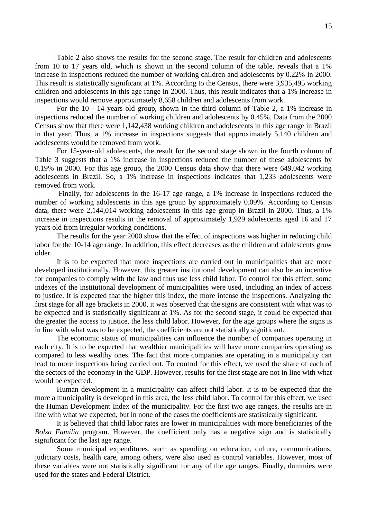Table 2 also shows the results for the second stage. The result for children and adolescents from 10 to 17 years old, which is shown in the second column of the table, reveals that a 1% increase in inspections reduced the number of working children and adolescents by 0.22% in 2000. This result is statistically significant at 1%. According to the Census, there were 3,935,495 working children and adolescents in this age range in 2000. Thus, this result indicates that a 1% increase in inspections would remove approximately 8,658 children and adolescents from work.

For the 10 - 14 years old group, shown in the third column of Table 2, a 1% increase in inspections reduced the number of working children and adolescents by 0.45%. Data from the 2000 Census show that there were 1,142,438 working children and adolescents in this age range in Brazil in that year. Thus, a 1% increase in inspections suggests that approximately 5,140 children and adolescents would be removed from work.

For 15-year-old adolescents, the result for the second stage shown in the fourth column of Table 3 suggests that a 1% increase in inspections reduced the number of these adolescents by 0.19% in 2000. For this age group, the 2000 Census data show that there were 649,042 working adolescents in Brazil. So, a 1% increase in inspections indicates that 1,233 adolescents were removed from work.

Finally, for adolescents in the 16-17 age range, a 1% increase in inspections reduced the number of working adolescents in this age group by approximately 0.09%. According to Census data, there were 2,144,014 working adolescents in this age group in Brazil in 2000. Thus, a 1% increase in inspections results in the removal of approximately 1,929 adolescents aged 16 and 17 years old from irregular working conditions.

The results for the year 2000 show that the effect of inspections was higher in reducing child labor for the 10-14 age range. In addition, this effect decreases as the children and adolescents grow older.

It is to be expected that more inspections are carried out in municipalities that are more developed institutionally. However, this greater institutional development can also be an incentive for companies to comply with the law and thus use less child labor. To control for this effect, some indexes of the institutional development of municipalities were used, including an index of access to justice. It is expected that the higher this index, the more intense the inspections. Analyzing the first stage for all age brackets in 2000, it was observed that the signs are consistent with what was to be expected and is statistically significant at 1%. As for the second stage, it could be expected that the greater the access to justice, the less child labor. However, for the age groups where the signs is in line with what was to be expected, the coefficients are not statistically significant.

The economic status of municipalities can influence the number of companies operating in each city. It is to be expected that wealthier municipalities will have more companies operating as compared to less wealthy ones. The fact that more companies are operating in a municipality can lead to more inspections being carried out. To control for this effect, we used the share of each of the sectors of the economy in the GDP. However, results for the first stage are not in line with what would be expected.

Human development in a municipality can affect child labor. It is to be expected that the more a municipality is developed in this area, the less child labor. To control for this effect, we used the Human Development Index of the municipality. For the first two age ranges, the results are in line with what we expected, but in none of the cases the coefficients are statistically significant.

It is believed that child labor rates are lower in municipalities with more beneficiaries of the *Bolsa Familia* program. However, the coefficient only has a negative sign and is statistically significant for the last age range.

Some municipal expenditures, such as spending on education, culture, communications, judiciary costs, health care, among others, were also used as control variables. However, most of these variables were not statistically significant for any of the age ranges. Finally, dummies were used for the states and Federal District.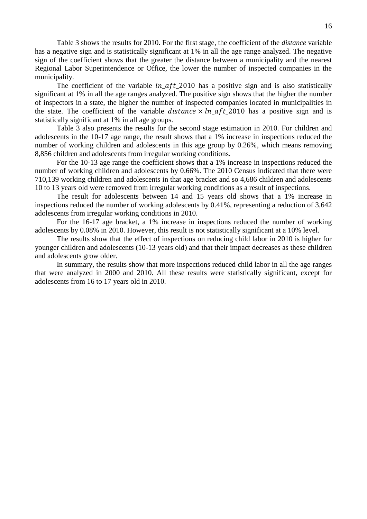Table 3 shows the results for 2010. For the first stage, the coefficient of the *distance* variable has a negative sign and is statistically significant at 1% in all the age range analyzed. The negative sign of the coefficient shows that the greater the distance between a municipality and the nearest Regional Labor Superintendence or Office, the lower the number of inspected companies in the municipality.

The coefficient of the variable  $ln$  aft 2010 has a positive sign and is also statistically significant at 1% in all the age ranges analyzed. The positive sign shows that the higher the number of inspectors in a state, the higher the number of inspected companies located in municipalities in the state. The coefficient of the variable distance  $\times ln$  aft 2010 has a positive sign and is statistically significant at 1% in all age groups.

Table 3 also presents the results for the second stage estimation in 2010. For children and adolescents in the 10-17 age range, the result shows that a 1% increase in inspections reduced the number of working children and adolescents in this age group by 0.26%, which means removing 8,856 children and adolescents from irregular working conditions.

For the 10-13 age range the coefficient shows that a 1% increase in inspections reduced the number of working children and adolescents by 0.66%. The 2010 Census indicated that there were 710,139 working children and adolescents in that age bracket and so 4,686 children and adolescents 10 to 13 years old were removed from irregular working conditions as a result of inspections.

The result for adolescents between 14 and 15 years old shows that a 1% increase in inspections reduced the number of working adolescents by 0.41%, representing a reduction of 3,642 adolescents from irregular working conditions in 2010.

For the 16-17 age bracket, a 1% increase in inspections reduced the number of working adolescents by 0.08% in 2010. However, this result is not statistically significant at a 10% level.

The results show that the effect of inspections on reducing child labor in 2010 is higher for younger children and adolescents (10-13 years old) and that their impact decreases as these children and adolescents grow older.

In summary, the results show that more inspections reduced child labor in all the age ranges that were analyzed in 2000 and 2010. All these results were statistically significant, except for adolescents from 16 to 17 years old in 2010.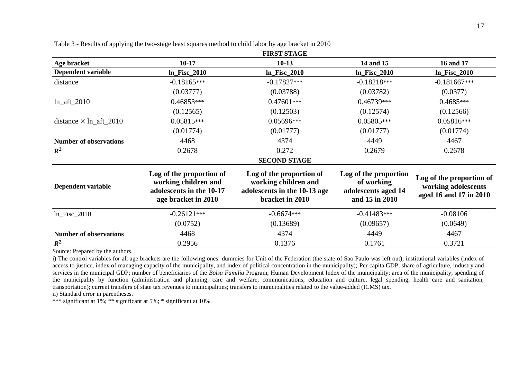| the control of the control of the                               |  |  |
|-----------------------------------------------------------------|--|--|
|                                                                 |  |  |
|                                                                 |  |  |
| the contract of the contract of the contract of the contract of |  |  |
|                                                                 |  |  |
|                                                                 |  |  |
|                                                                 |  |  |
|                                                                 |  |  |
|                                                                 |  |  |

| <b>FIRST STAGE</b>            |                                                                                                     |                                                                                                     |                                                                              |                                                                           |  |  |  |
|-------------------------------|-----------------------------------------------------------------------------------------------------|-----------------------------------------------------------------------------------------------------|------------------------------------------------------------------------------|---------------------------------------------------------------------------|--|--|--|
| Age bracket                   | $10 - 17$                                                                                           | $10-13$                                                                                             | 14 and 15                                                                    | 16 and 17                                                                 |  |  |  |
| Dependent variable            | $ln_F$ Fisc_2010                                                                                    | $ln$ Fisc $2010$                                                                                    | $ln_F$ Fisc $_2$ 010                                                         | $ln_F$ isc_2010                                                           |  |  |  |
| distance                      | $-0.18165***$                                                                                       | $-0.17827***$                                                                                       | $-0.18218***$                                                                | $-0.181667***$                                                            |  |  |  |
|                               | (0.03777)                                                                                           | (0.03788)                                                                                           | (0.03782)                                                                    | (0.0377)                                                                  |  |  |  |
| $ln_aft_2010$                 | $0.46853***$                                                                                        | $0.47601***$                                                                                        | $0.46739***$                                                                 | $0.4685***$                                                               |  |  |  |
|                               | (0.12565)                                                                                           | (0.12503)                                                                                           | (0.12574)                                                                    | (0.12566)                                                                 |  |  |  |
| distance $\times$ ln_aft_2010 | $0.05815***$                                                                                        | 0.05696***                                                                                          | $0.05805***$                                                                 | $0.05816***$                                                              |  |  |  |
|                               | (0.01774)                                                                                           | (0.01777)                                                                                           | (0.01777)                                                                    | (0.01774)                                                                 |  |  |  |
| <b>Number of observations</b> | 4468                                                                                                | 4374                                                                                                | 4449                                                                         | 4467                                                                      |  |  |  |
| $R^2$                         | 0.2678                                                                                              | 0.272                                                                                               | 0.2679                                                                       | 0.2678                                                                    |  |  |  |
|                               |                                                                                                     | <b>SECOND STAGE</b>                                                                                 |                                                                              |                                                                           |  |  |  |
| Dependent variable            | Log of the proportion of<br>working children and<br>adolescents in the 10-17<br>age bracket in 2010 | Log of the proportion of<br>working children and<br>adolescents in the 10-13 age<br>bracket in 2010 | Log of the proportion<br>of working<br>adolescents aged 14<br>and 15 in 2010 | Log of the proportion of<br>working adolescents<br>aged 16 and 17 in 2010 |  |  |  |
| $ln$ Fisc $_2010$             | $-0.26121***$                                                                                       | $-0.6674***$                                                                                        | $-0.41483***$                                                                | $-0.08106$                                                                |  |  |  |
|                               | (0.0752)                                                                                            | (0.13689)                                                                                           | (0.09657)                                                                    | (0.0649)                                                                  |  |  |  |
| <b>Number of observations</b> | 4468                                                                                                | 4374                                                                                                | 4449                                                                         | 4467                                                                      |  |  |  |
| $R^2$                         | 0.2956                                                                                              | 0.1376                                                                                              | 0.1761                                                                       | 0.3721                                                                    |  |  |  |

Table 3 - Results of applying the two-stage least squares method to child labor by age bracket in 2010

Source: Prepared by the authors.

i) The control variables for all age brackets are the following ones: dummies for Unit of the Federation (the state of Sao Paulo was left out); institutional variables (index of access to justice, index of managing capacity of the municipality, and index of political concentration in the municipality); Per capita GDP; share of agriculture, industry and services in the municipal GDP; number of beneficiaries of the *Bolsa Familia* Program; Human Development Index of the municipality; area of the municipality; spending of the municipality by function (administration and planning, care and welfare, communications, education and culture, legal spending, health care and sanitation, transportation); current transfers of state tax revenues to municipalities; transfers to municipalities related to the value-added (ICMS) tax.

ii) Standard error in parentheses.

\*\*\* significant at  $1\%$ ; \*\* significant at  $5\%$ ; \* significant at  $10\%$ .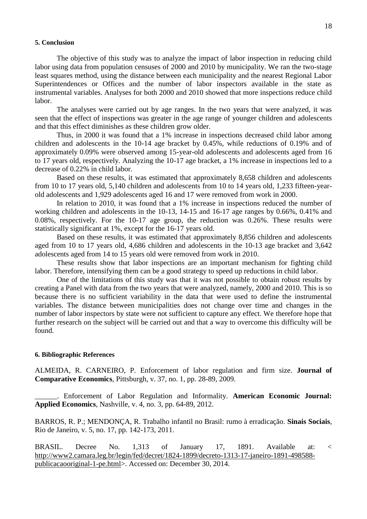#### **5. Conclusion**

The objective of this study was to analyze the impact of labor inspection in reducing child labor using data from population censuses of 2000 and 2010 by municipality. We ran the two-stage least squares method, using the distance between each municipality and the nearest Regional Labor Superintendences or Offices and the number of labor inspectors available in the state as instrumental variables. Analyses for both 2000 and 2010 showed that more inspections reduce child labor.

The analyses were carried out by age ranges. In the two years that were analyzed, it was seen that the effect of inspections was greater in the age range of younger children and adolescents and that this effect diminishes as these children grow older.

Thus, in 2000 it was found that a 1% increase in inspections decreased child labor among children and adolescents in the 10-14 age bracket by 0.45%, while reductions of 0.19% and of approximately 0.09% were observed among 15-year-old adolescents and adolescents aged from 16 to 17 years old, respectively. Analyzing the 10-17 age bracket, a 1% increase in inspections led to a decrease of 0.22% in child labor.

Based on these results, it was estimated that approximately 8,658 children and adolescents from 10 to 17 years old, 5,140 children and adolescents from 10 to 14 years old, 1,233 fifteen-yearold adolescents and 1,929 adolescents aged 16 and 17 were removed from work in 2000.

In relation to 2010, it was found that a 1% increase in inspections reduced the number of working children and adolescents in the 10-13, 14-15 and 16-17 age ranges by 0.66%, 0.41% and 0.08%, respectively. For the 10-17 age group, the reduction was 0.26%. These results were statistically significant at 1%, except for the 16-17 years old.

Based on these results, it was estimated that approximately 8,856 children and adolescents aged from 10 to 17 years old, 4,686 children and adolescents in the 10-13 age bracket and 3,642 adolescents aged from 14 to 15 years old were removed from work in 2010.

These results show that labor inspections are an important mechanism for fighting child labor. Therefore, intensifying them can be a good strategy to speed up reductions in child labor.

One of the limitations of this study was that it was not possible to obtain robust results by creating a Panel with data from the two years that were analyzed, namely, 2000 and 2010. This is so because there is no sufficient variability in the data that were used to define the instrumental variables. The distance between municipalities does not change over time and changes in the number of labor inspectors by state were not sufficient to capture any effect. We therefore hope that further research on the subject will be carried out and that a way to overcome this difficulty will be found.

#### **6. Bibliographic References**

ALMEIDA, R. CARNEIRO, P. Enforcement of labor regulation and firm size. **Journal of Comparative Economics**, Pittsburgh, v. 37, no. 1, pp. 28-89, 2009.

\_\_\_\_\_\_. Enforcement of Labor Regulation and Informality. **American Economic Journal: Applied Economics**, Nashville, v. 4, no. 3, pp. 64-89, 2012.

BARROS, R. P.; MENDONÇA, R. Trabalho infantil no Brasil: rumo à erradicação. **Sinais Sociais**, Rio de Janeiro, v. 5, no. 17, pp. 142-173, 2011.

BRASIL. Decree No. 1,313 of January 17, 1891. Available at: < [http://www2.camara.leg.br/legin/fed/decret/1824-1899/decreto-1313-17-janeiro-1891-498588](http://www2.camara.leg.br/legin/fed/decret/1824-1899/decreto-1313-17-janeiro-1891-498588-publicacaooriginal-1-pe.html) [publicacaooriginal-1-pe.html>](http://www2.camara.leg.br/legin/fed/decret/1824-1899/decreto-1313-17-janeiro-1891-498588-publicacaooriginal-1-pe.html). Accessed on: December 30, 2014.